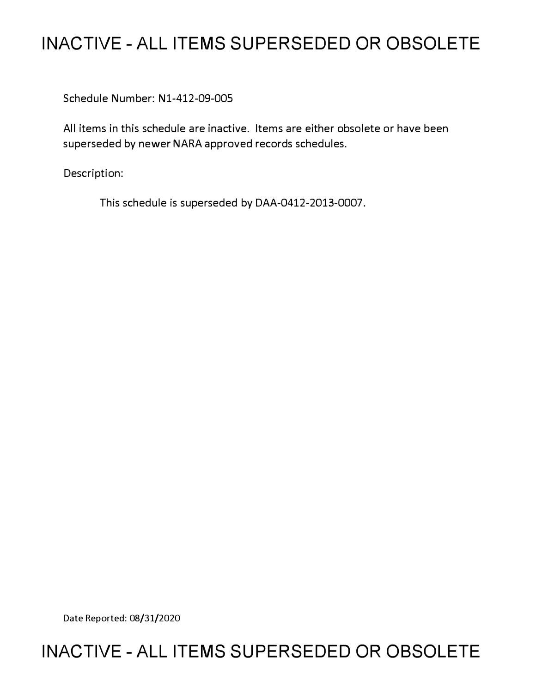# **INACTIVE - ALL ITEMS SUPERSEDED OR OBSOLETE**

Schedule Number: Nl-412-09-005

All items in this schedule are inactive. Items are either obsolete or have been superseded by newer NARA approved records schedules.

Description:

This schedule is superseded by DAA-0412-2013-0007.

Date Reported: 08/31/2020

## **INACTIVE - ALL ITEMS SUPERSEDED OR OBSOLETE**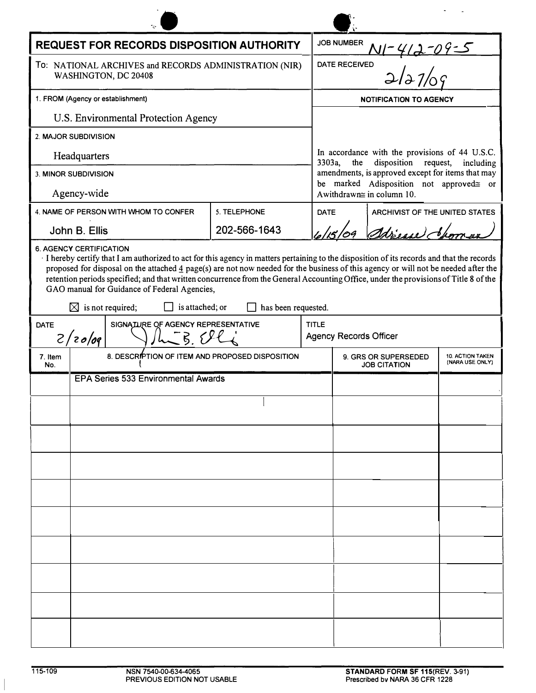| REQUEST FOR RECORDS DISPOSITION AUTHORITY                                      |                                                                                                                                                                                                                                                                                                                                                                                                                                                                                                                                         |                     |              | JOB NUMBER                                                                                                                                                                                                                            |                                |                         |
|--------------------------------------------------------------------------------|-----------------------------------------------------------------------------------------------------------------------------------------------------------------------------------------------------------------------------------------------------------------------------------------------------------------------------------------------------------------------------------------------------------------------------------------------------------------------------------------------------------------------------------------|---------------------|--------------|---------------------------------------------------------------------------------------------------------------------------------------------------------------------------------------------------------------------------------------|--------------------------------|-------------------------|
| TO: NATIONAL ARCHIVES and RECORDS ADMINISTRATION (NIR)<br>WASHINGTON, DC 20408 |                                                                                                                                                                                                                                                                                                                                                                                                                                                                                                                                         |                     |              | 1-412-09-5<br>2/27/00<br><b>DATE RECEIVED</b>                                                                                                                                                                                         |                                |                         |
| 1. FROM (Agency or establishment)                                              |                                                                                                                                                                                                                                                                                                                                                                                                                                                                                                                                         |                     |              | <b>NOTIFICATION TO AGENCY</b>                                                                                                                                                                                                         |                                |                         |
| U.S. Environmental Protection Agency                                           |                                                                                                                                                                                                                                                                                                                                                                                                                                                                                                                                         |                     |              |                                                                                                                                                                                                                                       |                                |                         |
| 2. MAJOR SUBDIVISION                                                           |                                                                                                                                                                                                                                                                                                                                                                                                                                                                                                                                         |                     |              |                                                                                                                                                                                                                                       |                                |                         |
| Headquarters                                                                   |                                                                                                                                                                                                                                                                                                                                                                                                                                                                                                                                         |                     |              | In accordance with the provisions of 44 U.S.C.<br>3303a,<br>the<br>disposition request, including<br>amendments, is approved except for items that may<br>be marked Adisposition not approved= or<br>Awithdrawn $\cong$ in column 10. |                                |                         |
| 3. MINOR SUBDIVISION                                                           |                                                                                                                                                                                                                                                                                                                                                                                                                                                                                                                                         |                     |              |                                                                                                                                                                                                                                       |                                |                         |
| Agency-wide                                                                    |                                                                                                                                                                                                                                                                                                                                                                                                                                                                                                                                         |                     |              |                                                                                                                                                                                                                                       |                                |                         |
|                                                                                | 4. NAME OF PERSON WITH WHOM TO CONFER                                                                                                                                                                                                                                                                                                                                                                                                                                                                                                   | 5. TELEPHONE        | <b>DATE</b>  |                                                                                                                                                                                                                                       | ARCHIVIST OF THE UNITED STATES |                         |
|                                                                                | John B. Ellis                                                                                                                                                                                                                                                                                                                                                                                                                                                                                                                           | 202-566-1643        |              |                                                                                                                                                                                                                                       | Adrience Jan                   |                         |
|                                                                                | If hereby certify that I am authorized to act for this agency in matters pertaining to the disposition of its records and that the records<br>proposed for disposal on the attached $\frac{4}{3}$ page(s) are not now needed for the business of this agency or will not be needed after the<br>retention periods specified; and that written concurrence from the General Accounting Office, under the provisions of Title 8 of the<br>GAO manual for Guidance of Federal Agencies,<br>$\boxtimes$ is not required;<br>is attached; or | has been requested. |              |                                                                                                                                                                                                                                       |                                |                         |
| <b>DATE</b><br>SIGNATURE OF AGENCY REPRESENTATIVE<br>$L - R$<br>2/20/09        |                                                                                                                                                                                                                                                                                                                                                                                                                                                                                                                                         |                     | <b>TITLE</b> | <b>Agency Records Officer</b>                                                                                                                                                                                                         |                                |                         |
| 7. Item<br>No.                                                                 | 8. DESCRIPTION OF ITEM AND PROPOSED DISPOSITION                                                                                                                                                                                                                                                                                                                                                                                                                                                                                         |                     |              | 9. GRS OR SUPERSEDED<br>(NARA USE ONLY)<br><b>JOB CITATION</b>                                                                                                                                                                        |                                | <b>10. ACTION TAKEN</b> |
| EPA Series 533 Environmental Awards                                            |                                                                                                                                                                                                                                                                                                                                                                                                                                                                                                                                         |                     |              |                                                                                                                                                                                                                                       |                                |                         |
|                                                                                |                                                                                                                                                                                                                                                                                                                                                                                                                                                                                                                                         |                     |              |                                                                                                                                                                                                                                       |                                |                         |
|                                                                                |                                                                                                                                                                                                                                                                                                                                                                                                                                                                                                                                         |                     |              |                                                                                                                                                                                                                                       |                                |                         |
|                                                                                |                                                                                                                                                                                                                                                                                                                                                                                                                                                                                                                                         |                     |              |                                                                                                                                                                                                                                       |                                |                         |
|                                                                                |                                                                                                                                                                                                                                                                                                                                                                                                                                                                                                                                         |                     |              |                                                                                                                                                                                                                                       |                                |                         |
|                                                                                |                                                                                                                                                                                                                                                                                                                                                                                                                                                                                                                                         |                     |              |                                                                                                                                                                                                                                       |                                |                         |
|                                                                                |                                                                                                                                                                                                                                                                                                                                                                                                                                                                                                                                         |                     |              |                                                                                                                                                                                                                                       |                                |                         |
|                                                                                |                                                                                                                                                                                                                                                                                                                                                                                                                                                                                                                                         |                     |              |                                                                                                                                                                                                                                       |                                |                         |
|                                                                                |                                                                                                                                                                                                                                                                                                                                                                                                                                                                                                                                         |                     |              |                                                                                                                                                                                                                                       |                                |                         |
|                                                                                |                                                                                                                                                                                                                                                                                                                                                                                                                                                                                                                                         |                     |              |                                                                                                                                                                                                                                       |                                |                         |
|                                                                                |                                                                                                                                                                                                                                                                                                                                                                                                                                                                                                                                         |                     |              |                                                                                                                                                                                                                                       |                                |                         |
|                                                                                |                                                                                                                                                                                                                                                                                                                                                                                                                                                                                                                                         |                     |              |                                                                                                                                                                                                                                       |                                |                         |
|                                                                                |                                                                                                                                                                                                                                                                                                                                                                                                                                                                                                                                         |                     |              |                                                                                                                                                                                                                                       |                                |                         |
|                                                                                |                                                                                                                                                                                                                                                                                                                                                                                                                                                                                                                                         |                     |              |                                                                                                                                                                                                                                       |                                |                         |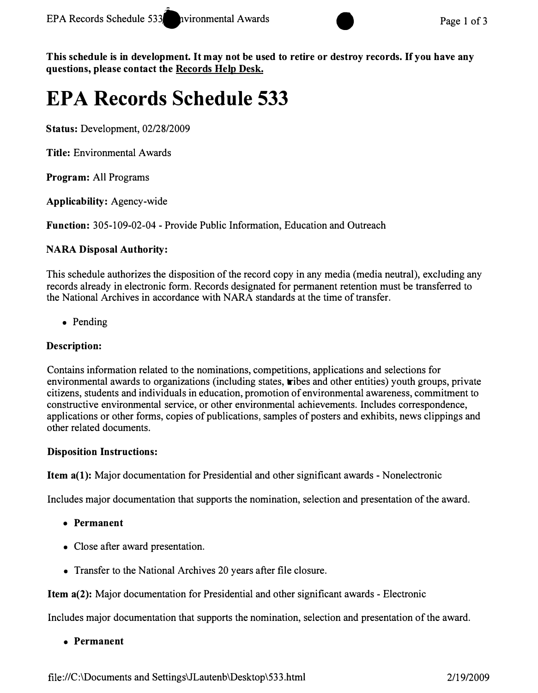

*This schedule is in development. It may not be used to retire or destroy records. If you have any questions, please contact the Records Help Desk.* 

# **EPA Records Schedule 533**

*Status:* Development, 02/28/2009

*Title:* Environmental Awards

*Program:* All Programs

*Applicability:* Agency-wide

*Function:* 305-109-02-04 - Provide Public Information, Education and Outreach

## *NARA Disposal Authority:*

This schedule authorizes the disposition of the record copy in any media (media neutral), excluding any records already in electronic form. Records designated for permanent retention must be transferred to the National Archives in accordance with NARA standards at the time of transfer.

• Pending

### *Description:*

Contains information related to the nominations, competitions, applications and selections for environmental awards to organizations (including states, tribes and other entities) youth groups, private citizens, students and individuals in education, promotion of environmental awareness, commitment to constructive environmental service, or other environmental achievements. Includes correspondence, applications or other forms, copies of publications, samples of posters and exhibits, news clippings and other related documents.

#### *Disposition Instructions:*

*Item a(1):* Major documentation for Presidential and other significant awards - Nonelectronic

Includes major documentation that supports the nomination, selection and presentation of the award.

- *Permanent*
- Close after award presentation.
- Transfer to the National Archives 20 years after file closure.

**Item a(2):** Major documentation for Presidential and other significant awards - Electronic

Includes major documentation that supports the nomination, selection and presentation of the award.

*• Permanent*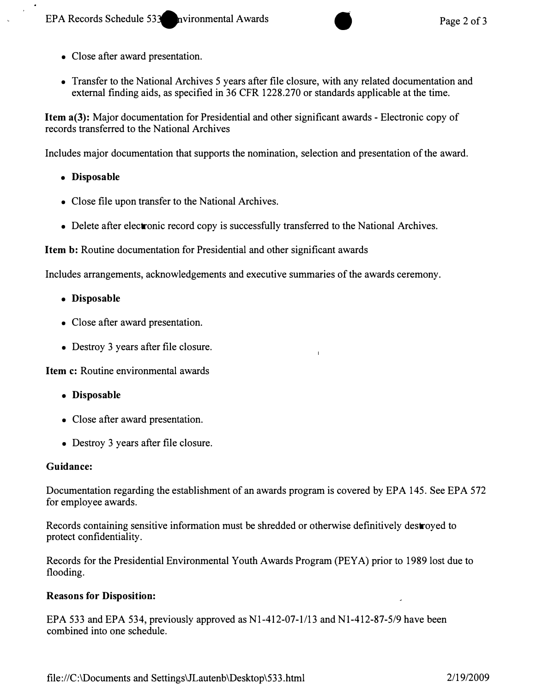- Close after award presentation.
- Transfer to the National Archives 5 years after file closure, with any related documentation and external finding aids, as specified in 36 CFR 1228.270 or standards applicable at the time.

*Item a(3):* Major documentation for Presidential and other significant awards - Electronic copy of records transferred to the National Archives

Includes major documentation that supports the nomination, selection and presentation of the award.

- *Disposable*
- Close file upon transfer to the National Archives.
- Delete after electronic record copy is successfully transferred to the National Archives.

**Item b:** Routine documentation for Presidential and other significant awards

Includes arrangements, acknowledgements and executive summaries of the awards ceremony.

- *Disposable*
- Close after award presentation.
- Destroy 3 years after file closure.

*Item c: Routine environmental awards* 

- *Disposable*
- Close after award presentation.
- Destroy 3 years after file closure.

#### *Guidance:*

Documentation regarding the establishment of an awards program is covered by EPA 145. See EPA 572 for employee awards.

Records containing sensitive information must be shredded or otherwise definitively destroyed to protect confidentiality.

Records for the Presidential Environmental Youth Awards Program (PEY A) prior to 1989 lost due to flooding.

#### *Reasons for Disposition:*

EPA 533 and EPA 534, previously approved as N1-412-07-1/13 and N1-412-87-5/9 have been combined into one schedule.